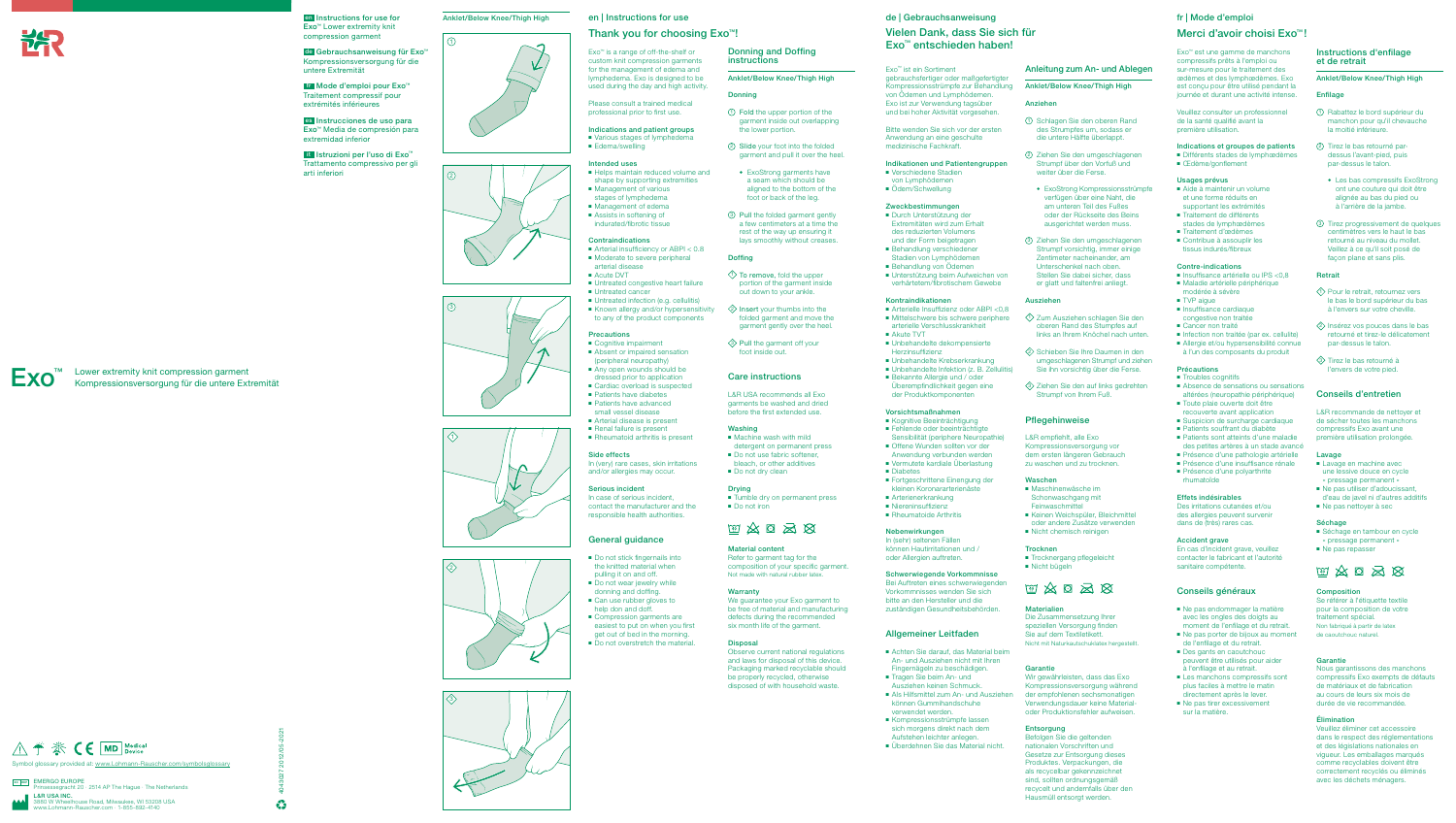### de | Gebrauchsanweisung

## Vielen Dank, dass Sie sich für Exo™ entschieden haben!

### Exo™ ist ein Sortiment

gebrauchsfertiger oder maßgefertigter Kompressionsstrümpfe zur Behandlung von Ödemen und Lymphödemen. Exo ist zur Verwendung tagsüber und bei hoher Aktivität vorgesehen.

Bitte wenden Sie sich vor der ersten Anwendung an eine geschulte medizinische Fachkraft.

- Durch Unterstützung der Extremitäten wird zum Erhalt des reduzierten Volumens und der Form beigetragen
- Behandlung verschiedener Stadien von Lymphödemen
- Behandlung von Ödemen
- Unterstützung beim Aufweichen von verhärtetem/fibrotischem Gewebe

#### Indikationen und Patientengruppen

- Verschiedene Stadien von Lymphödemen
- Ödem/Schwellung

## Zweckbestimmungen

- Arterielle Insuffizienz oder ABPI <0,8
- Mittelschwere bis schwere periphere arterielle Verschlusskrankheit
- Akute TVT ■ Unbehandelte dekompensierte
- Herzinsuffizienz
- Unbehandelte Krebserkrankung
- Unbehandelte Infektion (z. B. Zellulitis) ■ Bekannte Allergie und / oder
- Überempfindlichkeit gegen eine der Produktkomponenten

#### Kontraindikationen

- Achten Sie darauf, das Material beim An- und Ausziehen nicht mit Ihren Fingernägeln zu beschädigen.
- Tragen Sie beim An- und Ausziehen keinen Schmuck.
- Als Hilfsmittel zum An- und Ausziehen können Gummihandschuhe verwendet werden.
- Kompressionsstrümpfe lassen sich morgens direkt nach dem Aufstehen leichter anlegen.
- Überdehnen Sie das Material nicht.

#### Vorsichtsmaßnahmen

- Kognitive Beeinträchtigung ■ Fehlende oder beeinträchtigte Sensibilität (periphere Neuropathie)
- Offene Wunden sollten vor der Anwendung verbunden werden
- Vermutete kardiale Überlastung ■ Diabetes
- Fortgeschrittene Einengung der kleinen Koronararterienäste
- Arterienerkrankung
- Niereninsuffizienz
- Rheumatoide Arthritis

#### Nebenwirkungen

- $\Diamond$  Zum Ausziehen schlagen Sie den oberen Rand des Stumpfes auf links an Ihrem Knöchel nach unten.
- 2 Schieben Sie Ihre Daumen in den umgeschlagenen Strumpf und ziehen Sie ihn vorsichtig über die Ferse.
- $\Diamond$  Ziehen Sie den auf links gedrehten Strumpf von Ihrem Fuß.

In (sehr) seltenen Fällen können Hautirritationen und / oder Allergien auftreten.

#### Schwerwiegende Vorkommnisse

Bei Auftreten eines schwerwiegenden Vorkommnisses wenden Sie sich bitte an den Hersteller und die zuständigen Gesundheitsbehörden.

## Allgemeiner Leitfaden

## Anleitung zum An- und Ablegen

#### Anklet/Below Knee/Thigh High

#### Anziehen

- Aide à maintenir un volume et une forme réduits en supportant les extrémités
- Traitement de différents stades de lymphœdèmes
- Traitement d'œdèmes
- Contribue à assouplir les tissus indurés/fibreux

- Insuffisance artérielle ou IPS <0.8
- Maladie artérielle périphérique modérée à sévère
- TVP aigue
- Insuffisance cardiaque congestive non traitée
- Cancer non traité
- Infection non traitée (par ex. cellulite) ■ Allergie et/ou hypersensibilité connue à l'un des composants du produit
- 1 Schlagen Sie den oberen Rand des Strumpfes um, sodass er die untere Hälfte überlappt.
- 2 Ziehen Sie den umgeschlagenen Strumpf über den Vorfuß und weiter über die Ferse.
- ◆ ExoStrong Kompressionsstrümpfe verfügen über eine Naht, die am unteren Teil des Fußes oder der Rückseite des Beins ausgerichtet werden muss.
- 3 Ziehen Sie den umgeschlagenen Strumpf vorsichtig, immer einige Zentimeter nacheinander, am Unterschenkel nach oben. Stellen Sie dabei sicher, dass er glatt und faltenfrei anliegt.

- Troubles cognitifs
- Absence de sensations ou sensations altérées (neuropathie périphérique)
- Toute plaie ouverte doit être recouverte avant application
- Suspicion de surcharge cardiaque
- Patients souffrant du diabète ■ Patients sont atteints d'une maladie
- des petites artères à un stade avancé
- Présence d'une pathologie artérielle ■ Présence d'une insuffisance rénale
- Présence d'une polvarthrite
- rhumatoïde

#### Ausziehen

En cas d'incident grave, veuillez contacter le fabricant et l'autorité sanitaire compétente.

■ Ne pas endommager la matière avec les ongles des doigts au moment de l'enfilage et du retrait. ■ Ne pas porter de bijoux au moment

de l'enfilage et du retrait. ■ Des gants en caoutchouc peuvent être utilisés pour aider à l'enfilage et au retrait. ■ Les manchons compressifs sont plus faciles à mettre le matin directement après le lever. ■ Ne pas tirer excessivement

## Pflegehinweise

L&R empfiehlt, alle Exo Kompressionsversorgung vor dem ersten längeren Gebrauch zu waschen und zu trocknen.

#### Waschen

- Maschinenwäsche im Schonwaschgang mit **Feinwaschmitte**
- Keinen Weichspüler, Bleichmittel oder andere Zusätze verwenden
- Nicht chemisch reinigen

#### Trocknen

■ Trocknergang pflegeleicht ■ Nicht bügeln

## $\mathbb{M}\not\otimes \mathbb{N} \not\approx \mathbb{N}$

 $\langle \hat{1} \rangle$  Pour le retrait, retournez vers le bas le bord supérieur du bas à l'envers sur votre cheville.  $\Diamond$  Insérez vos pouces dans le bas retourné et tirez-le délicatement

#### Materialien

Die Zusammensetzung Ihrer speziellen Versorgung finden Sie auf dem Textiletikett. Nicht mit Naturkautschuklatex hergestellt.

#### Garantie

■ Lavage en machine avec une lessive douce en cycle « pressage permanent » ■ Ne pas utiliser d'adoucissant d'eau de javel ni d'autres additifs

■ Ne pas nettoyer à sec

■ Séchage en tambour en cycle « pressage permanent » ■ Ne pas repasser

Wir gewährleisten, dass das Exo Kompressionsversorgung während der empfohlenen sechsmonatigen Verwendungsdauer keine Materialoder Produktionsfehler aufweisen.

#### **Entsorgung**

Befolgen Sie die geltenden nationalen Vorschriften und Gesetze zur Entsorgung dieses Produktes. Verpackungen, die als recycelbar gekennzeichnet sind, sollten ordnungsgemäß recycelt und andernfalls über den Hausmüll entsorgt werden.

## fr | Mode d'emploi

# Merci d'avoir choisi Exo™ !

Exo™ est une gamme de manchons compressifs prêts à l'emploi ou sur-mesure pour le traitement des œdèmes et des lymphœdèmes. Exo est conçu pour être utilisé pendant la journée et durant une activité intense.

Veuillez consulter un professionnel de la santé qualifié avant la première utilisation.

#### Indications et groupes de patients

- Différents stades de lymphœdèmes
- Œdème/gonflement

#### Usages prévus

- Helps maintain reduced volume and shape by supporting extremities
- Management of various
- stages of lymphedema ■ Management of edema
- Assists in softening of
- indurated/fibrotic tissue

#### Contre-indications

- Arterial insufficiency or ABPI < 0.8 ■ Moderate to severe peripheral arterial disease
- Acute DVT
- Untreated congestive heart failure
- Untreated cancer
- Untreated infection (e.g. cellulitis) ■ Known allergy and/or hypersensitivity
- to any of the product components

## **Precautions**

- Cognitive impairment ■ Absent or impaired sensation
- (peripheral neuropathy) ■ Any open wounds should be
- dressed prior to application
- Cardiac overload is suspected
- Patients have diabetes
- Patients have advanced small vessel disease
- Arterial disease is present
- Renal failure is present
- Rheumatoid arthritis is present

#### Précautions

- 1 Fold the upper portion of the garment inside out overlapping the lower portion.
- 2 Slide your foot into the folded garment and pull it over the heel.
- ◆ ExoStrong garments have a seam which should be aligned to the bottom of the foot or back of the leg.
- 3 Pull the folded garment gently a few centimeters at a time the rest of the way up ensuring it lays smoothly without creases

## Effets indésirables

Des irritations cutanées et/ou des allergies peuvent survenir dans de (très) rares cas.

## **Accident grave**

- $\langle \hat{1} \rangle$  To remove, fold the upper portion of the garment inside out down to your ankle.
- $\Diamond$  Insert your thumbs into the folded garment and move the garment gently over the heel.
- $\Diamond$  Pull the garment off your foot inside out.

## Conseils généraux

sur la matière.

Instructions d'enfilage

et de retrait

Anklet/Below Knee/Thigh High

Enfilage

1 Rabattez le bord supérieur du manchon pour qu'il chevauche

la moitié inférieure. 2 Tirez le bas retourné pardessus l'avant-pied, puis par-dessus le talon.

> ◆ Les bas compressifs ExoStrong ont une couture qui doit être alignée au bas du pied ou à l'arrière de la jambe.

3 Tirez progressivement de quelques centimètres vers le haut le bas retourné au niveau du mollet. Veillez à ce qu'il soit posé de façon plane et sans plis.

Retrait

par-dessus le talon. 3 Tirez le bas retourné à l'envers de votre pied.

Conseils d'entretien

L&R recommande de nettoyer et de sécher toutes les manchons compressifs Exo avant une première utilisation prolongée.

Lavage

Séchage

Composition

Se référer à l'étiquette textile pour la composition de votre traitement spécial. Non fabriqué à partir de latex de caoutchouc naturel.

 $\text{W} \otimes \text{S} \otimes \text{S}$ 

Garantie

Nous garantissons des manchons compressifs Exo exempts de défauts de matériaux et de fabrication au cours de leurs six mois de durée de vie recommandée.

Élimination

Veuillez éliminer cet accessoire dans le respect des réglementations et des législations nationales en vigueur. Les emballages marqués comme recyclables doivent être correctement recyclés ou éliminés avec les déchets ménagers.



en Instructions for use for Exo™ Lower extremity knit compression garment

de Gebrauchsanweisung für Exo™ Kompressionsversorgung für die untere Extremität

fr Mode d'emploi pour Exo™ Traitement compressif pour extrémités inférieures

es Instrucciones de uso para Exo™ Media de compresión para extremidad inferior

it Istruzioni per l'uso di Exo™ Trattamento compressivo per gli arti inferiori

4043027 2012/05-2021









**EXO**<sup>™ Lower extremity knit compression garment<br>Kompressionsversorgung für die untere Extremität</sup>





en | Instructions for use

#### Thank you for choosing Exo™!

Exo™ is a range of off-the-shelf or custom knit compression garments for the management of edema and lymphedema. Exo is designed to be used during the day and high activity.

Please consult a trained medical professional prior to first use.

### Indications and patient groups

■ Various stages of lymphedema ■ Edema/swelling

#### Intended uses

#### Contraindications

#### Side effects

#### In (very) rare cases, skin irritations and/or allergies may occur.

#### Serious incident

In case of serious incident, contact the manufacturer and the responsible health authorities.

#### General guidance

- Do not stick fingernails into the knitted material when
- pulling it on and off.
- Do not wear jewelry while
- donning and doffing.
- Can use rubber gloves to
- help don and doff.
- Compression garments are easiest to put on when you first
- get out of bed in the morning. ■ Do not overstretch the material.

### Donning and Doffing instructions

#### Anklet/Below Knee/Thigh High

#### Donning

#### Doffing

#### Care instructions

L&R USA recommends all Exo garments be washed and dried before the first extended use.

## Washing

- Machine wash with mild detergent on permanent press
- Do not use fabric softener, bleach, or other additives
- Do not dry clean

#### Drying

■ Tumble dry on permanent press ■ Do not iron

# 

#### Material content

Refer to garment tag for the composition of your specific garment. Not made with natural rubber latex.

#### **Warranty**

We guarantee your Exo garment to be free of material and manufacturing defects during the recommended six month life of the garment.

#### Disposal

Observe current national regulations and laws for disposal of this device. Packaging marked recyclable should be properly recycled, otherwise disposed of with household waste.







Anklet/Below Knee/Thigh High